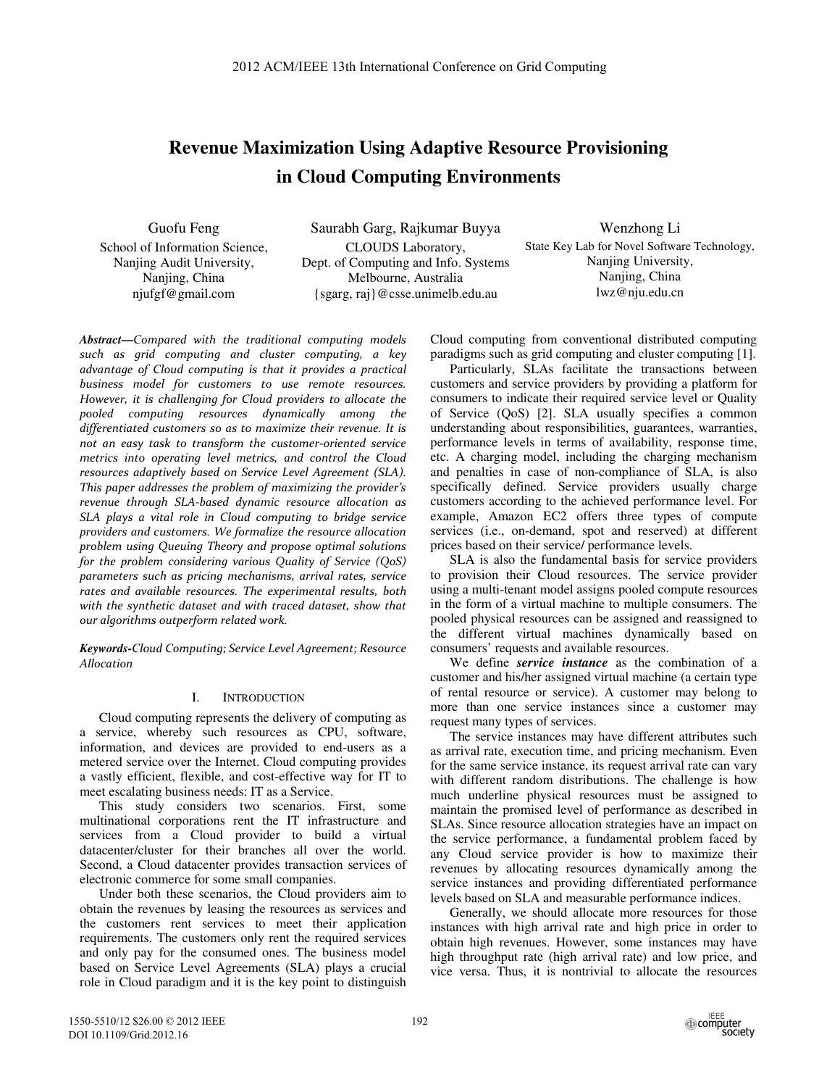# **Revenue Maximization Using Adaptive Resource Provisioning in Cloud Computing Environments**

Guofu Feng School of Information Science, Nanjing Audit University, Nanjing, China njufgf@gmail.com

Saurabh Garg, Rajkumar Buyya CLOUDS Laboratory, Dept. of Computing and Info. Systems Melbourne, Australia {sgarg, raj}@csse.unimelb.edu.au

Wenzhong Li State Key Lab for Novel Software Technology, Nanjing University, Nanjing, China lwz@nju.edu.cn

Abstract—Compared with the traditional computing models such as grid computing and cluster computing, a key advantage of Cloud computing is that it provides a practical business model for customers to use remote resources. However, it is challenging for Cloud providers to allocate the pooled computing resources dynamically among the aifferentiated customers so as to maximize their revenue. It is not an easy task to transform the customer-oriented service metrics into operating level metrics, and control the Cloud resources adaptively based on Service Level Agreement (SLA). This paper addresses the problem of maximizing the provider's revenue through SLA-based dynamic resource allocation as SLA plays a vital role in Cloud computing to bridge service providers and customers. We formalize the resource allocation -<br>problem using Queuing Theory and propose optimal solutions  $\epsilon$  for the problem considering various Quality of Service (QoS) parameters such as pricing mechanisms, arrival rates, service .<br>rates and available resources. The experimental results, both with the synthetic dataset and with traced dataset, show that our algorithms outperform related work.

Keywords-Cloud Computing; Service Level Agreement; Resource Allocation

# I. INTRODUCTION

Cloud computing represents the delivery of computing as a service, whereby such resources as CPU, software, information, and devices are provided to end-users as a metered service over the Internet. Cloud computing provides a vastly efficient, flexible, and cost-effective way for IT to meet escalating business needs: IT as a Service.

This study considers two scenarios. First, some multinational corporations rent the IT infrastructure and services from a Cloud provider to build a virtual datacenter/cluster for their branches all over the world. Second, a Cloud datacenter provides transaction services of electronic commerce for some small companies.

Under both these scenarios, the Cloud providers aim to obtain the revenues by leasing the resources as services and the customers rent services to meet their application requirements. The customers only rent the required services and only pay for the consumed ones. The business model based on Service Level Agreements (SLA) plays a crucial role in Cloud paradigm and it is the key point to distinguish

Cloud computing from conventional distributed computing paradigms such as grid computing and cluster computing [1].

Particularly, SLAs facilitate the transactions between customers and service providers by providing a platform for consumers to indicate their required service level or Quality of Service (QoS) [2]. SLA usually specifies a common understanding about responsibilities, guarantees, warranties, performance levels in terms of availability, response time, etc. A charging model, including the charging mechanism and penalties in case of non-compliance of SLA, is also specifically defined. Service providers usually charge customers according to the achieved performance level. For example, Amazon EC2 offers three types of compute services (i.e., on-demand, spot and reserved) at different prices based on their service/ performance levels.

SLA is also the fundamental basis for service providers to provision their Cloud resources. The service provider using a multi-tenant model assigns pooled compute resources in the form of a virtual machine to multiple consumers. The pooled physical resources can be assigned and reassigned to the different virtual machines dynamically based on consumers' requests and available resources.

We define *service instance* as the combination of a customer and his/her assigned virtual machine (a certain type of rental resource or service). A customer may belong to more than one service instances since a customer may request many types of services.

The service instances may have different attributes such as arrival rate, execution time, and pricing mechanism. Even for the same service instance, its request arrival rate can vary with different random distributions. The challenge is how much underline physical resources must be assigned to maintain the promised level of performance as described in SLAs. Since resource allocation strategies have an impact on the service performance, a fundamental problem faced by any Cloud service provider is how to maximize their revenues by allocating resources dynamically among the service instances and providing differentiated performance levels based on SLA and measurable performance indices.

Generally, we should allocate more resources for those instances with high arrival rate and high price in order to obtain high revenues. However, some instances may have high throughput rate (high arrival rate) and low price, and vice versa. Thus, it is nontrivial to allocate the resources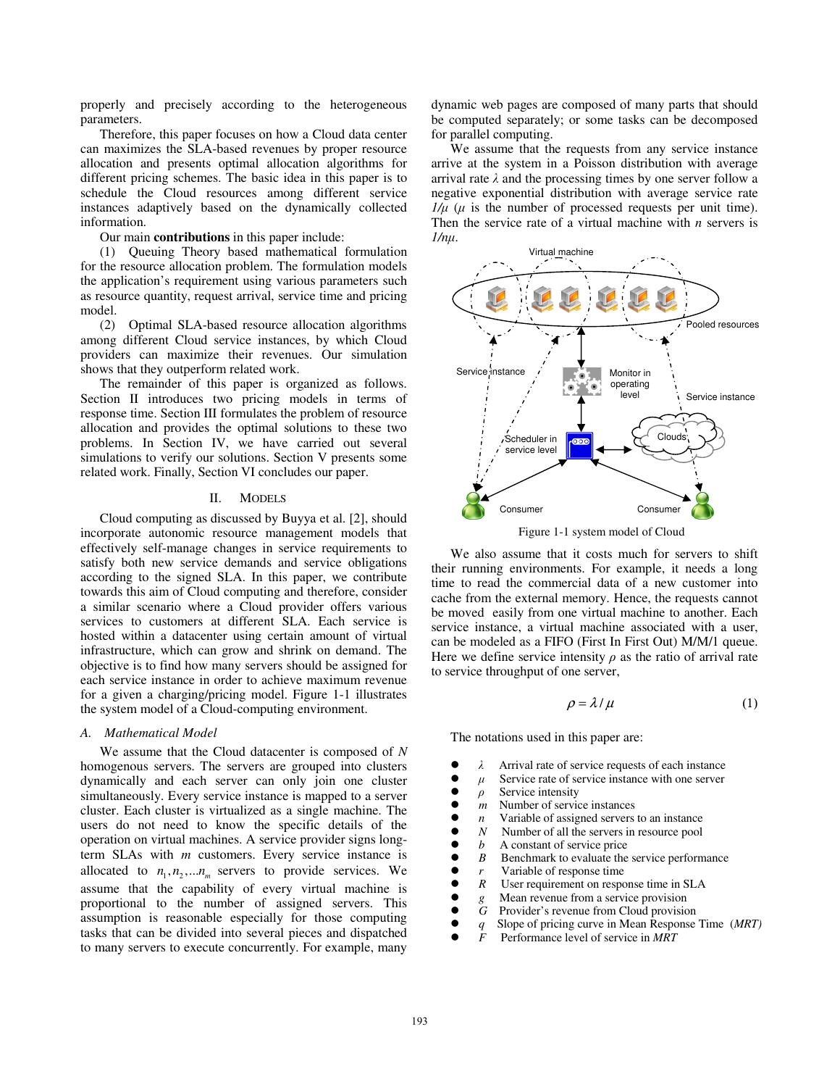properly and precisely according to the heterogeneous parameters.

Therefore, this paper focuses on how a Cloud data center can maximizes the SLA-based revenues by proper resource allocation and presents optimal allocation algorithms for different pricing schemes. The basic idea in this paper is to schedule the Cloud resources among different service instances adaptively based on the dynamically collected information.

Our main **contributions** in this paper include:

(1) Queuing Theory based mathematical formulation for the resource allocation problem. The formulation models the application's requirement using various parameters such as resource quantity, request arrival, service time and pricing model.

(2) Optimal SLA-based resource allocation algorithms among different Cloud service instances, by which Cloud providers can maximize their revenues. Our simulation shows that they outperform related work.

The remainder of this paper is organized as follows. Section II introduces two pricing models in terms of response time. Section III formulates the problem of resource allocation and provides the optimal solutions to these two problems. In Section IV, we have carried out several simulations to verify our solutions. Section V presents some related work. Finally, Section VI concludes our paper.

## II. MODELS

Cloud computing as discussed by Buyya et al. [2], should incorporate autonomic resource management models that effectively self-manage changes in service requirements to satisfy both new service demands and service obligations according to the signed SLA. In this paper, we contribute towards this aim of Cloud computing and therefore, consider a similar scenario where a Cloud provider offers various services to customers at different SLA. Each service is hosted within a datacenter using certain amount of virtual infrastructure, which can grow and shrink on demand. The objective is to find how many servers should be assigned for each service instance in order to achieve maximum revenue for a given a charging/pricing model. Figure 1-1 illustrates the system model of a Cloud-computing environment.

## *A. Mathematical Model*

We assume that the Cloud datacenter is composed of *N* homogenous servers. The servers are grouped into clusters dynamically and each server can only join one cluster simultaneously. Every service instance is mapped to a server cluster. Each cluster is virtualized as a single machine. The users do not need to know the specific details of the operation on virtual machines. A service provider signs longterm SLAs with *m* customers. Every service instance is allocated to  $n_1, n_2, \ldots, n_m$  servers to provide services. We assume that the capability of every virtual machine is proportional to the number of assigned servers. This assumption is reasonable especially for those computing tasks that can be divided into several pieces and dispatched to many servers to execute concurrently. For example, many

dynamic web pages are composed of many parts that should be computed separately; or some tasks can be decomposed for parallel computing.

We assume that the requests from any service instance arrive at the system in a Poisson distribution with average arrival rate  $\lambda$  and the processing times by one server follow a negative exponential distribution with average service rate  $1/\mu$  ( $\mu$  is the number of processed requests per unit time). Then the service rate of a virtual machine with *n* servers is *1/n*.



Figure 1-1 system model of Cloud

We also assume that it costs much for servers to shift their running environments. For example, it needs a long time to read the commercial data of a new customer into cache from the external memory. Hence, the requests cannot be moved easily from one virtual machine to another. Each service instance, a virtual machine associated with a user, can be modeled as a FIFO (First In First Out) M/M/1 queue. Here we define service intensity  $\rho$  as the ratio of arrival rate to service throughput of one server,

$$
\rho = \lambda / \mu \tag{1}
$$

The notations used in this paper are:

- $\bullet$  $\lambda$ Arrival rate of service requests of each instance
- $\bullet$  $\mu$  Service rate of service instance with one server
- $\bullet$  $\rho$  Service intensity
- $\bullet$ *m* Number of service instances
- $\bullet$ *n* Variable of assigned servers to an instance
- $\bullet$ *N* Number of all the servers in resource pool
- $\bullet$ *b* A constant of service price<br>*B* Benchmark to evaluate the
- $\bullet$ Benchmark to evaluate the service performance
- $\bullet$ *r* Variable of response time<br>*R* User requirement on respo
- $\bullet$ User requirement on response time in SLA
- $\bullet$ *g* Mean revenue from a service provision
- $\bullet$ *G* Provider's revenue from Cloud provision
- $\bullet$ *q* Slope of pricing curve in Mean Response Time (*MRT)*
- $\bullet$ *F* Performance level of service in *MRT*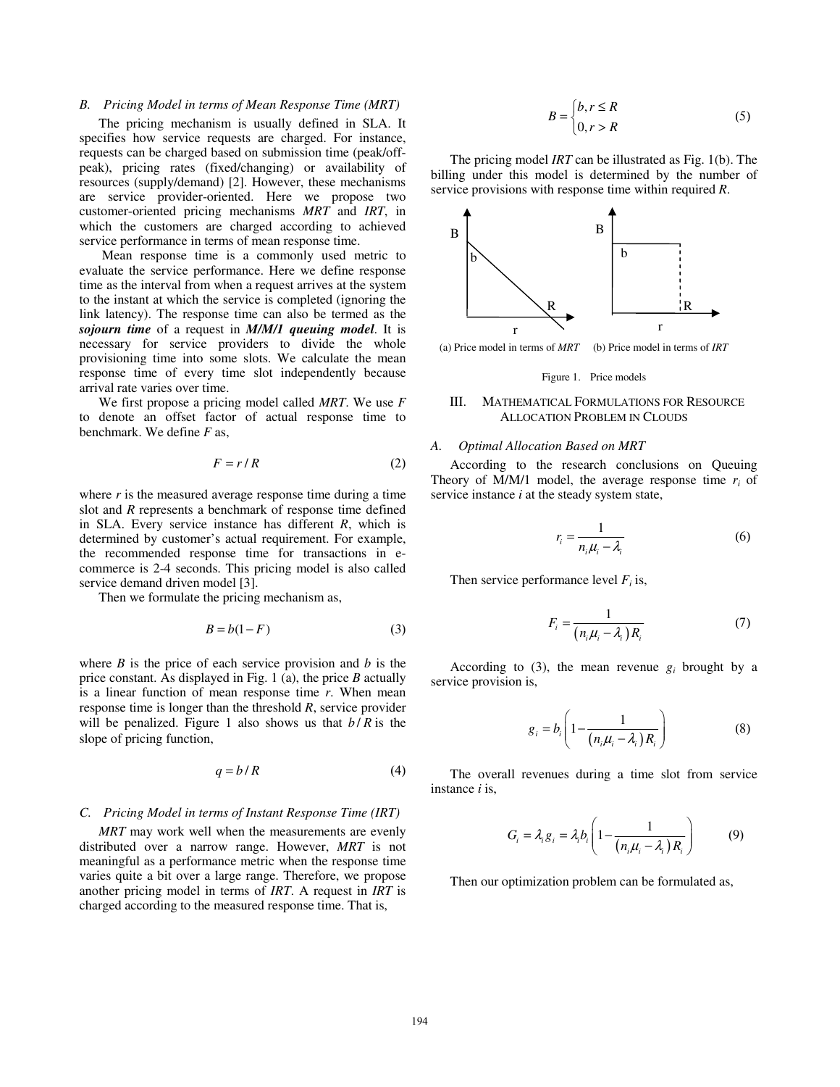## *B. Pricing Model in terms of Mean Response Time (MRT)*

The pricing mechanism is usually defined in SLA. It specifies how service requests are charged. For instance, requests can be charged based on submission time (peak/offpeak), pricing rates (fixed/changing) or availability of resources (supply/demand) [2]. However, these mechanisms are service provider-oriented. Here we propose two customer-oriented pricing mechanisms *MRT* and *IRT*, in which the customers are charged according to achieved service performance in terms of mean response time.

 Mean response time is a commonly used metric to evaluate the service performance. Here we define response time as the interval from when a request arrives at the system to the instant at which the service is completed (ignoring the link latency). The response time can also be termed as the *sojourn time* of a request in *M/M/1 queuing model*. It is necessary for service providers to divide the whole provisioning time into some slots. We calculate the mean response time of every time slot independently because arrival rate varies over time.

We first propose a pricing model called *MRT*. We use *F* to denote an offset factor of actual response time to benchmark. We define *F* as,

$$
F = r/R \tag{2}
$$

where *r* is the measured average response time during a time slot and *R* represents a benchmark of response time defined in SLA. Every service instance has different *R*, which is determined by customer's actual requirement. For example, the recommended response time for transactions in ecommerce is 2-4 seconds. This pricing model is also called service demand driven model [3].

Then we formulate the pricing mechanism as,

$$
B = b(1 - F) \tag{3}
$$

where *B* is the price of each service provision and *b* is the price constant. As displayed in Fig. 1 (a), the price *B* actually is a linear function of mean response time *r*. When mean response time is longer than the threshold *R*, service provider will be penalized. Figure 1 also shows us that  $b/R$  is the slope of pricing function,

$$
q = b/R \tag{4}
$$

#### *C. Pricing Model in terms of Instant Response Time (IRT)*

*MRT* may work well when the measurements are evenly distributed over a narrow range. However, *MRT* is not meaningful as a performance metric when the response time varies quite a bit over a large range. Therefore, we propose another pricing model in terms of *IRT*. A request in *IRT* is charged according to the measured response time. That is,

$$
B = \begin{cases} b, r \le R \\ 0, r > R \end{cases}
$$
 (5)

The pricing model *IRT* can be illustrated as Fig. 1(b). The billing under this model is determined by the number of service provisions with response time within required *R*.



(a) Price model in terms of *MRT* (b) Price model in terms of *IRT*

#### Figure 1. Price models

## III. MATHEMATICAL FORMULATIONS FOR RESOURCE ALLOCATION PROBLEM IN CLOUDS

#### *A. Optimal Allocation Based on MRT*

According to the research conclusions on Queuing Theory of  $M/M/1$  model, the average response time  $r_i$  of service instance *i* at the steady system state,

$$
r_i = \frac{1}{n_i \mu_i - \lambda_i} \tag{6}
$$

Then service performance level  $F_i$  is,

$$
F_i = \frac{1}{\left(n_i \mu_i - \lambda_i\right) R_i} \tag{7}
$$

According to (3), the mean revenue *gi* brought by a service provision is,

$$
g_i = b_i \left( 1 - \frac{1}{\left( n_i \mu_i - \lambda_i \right) R_i} \right) \tag{8}
$$

The overall revenues during a time slot from service instance *i* is,

$$
G_i = \lambda_i g_i = \lambda_i b_i \left( 1 - \frac{1}{\left( n_i \mu_i - \lambda_i \right) R_i} \right) \tag{9}
$$

Then our optimization problem can be formulated as,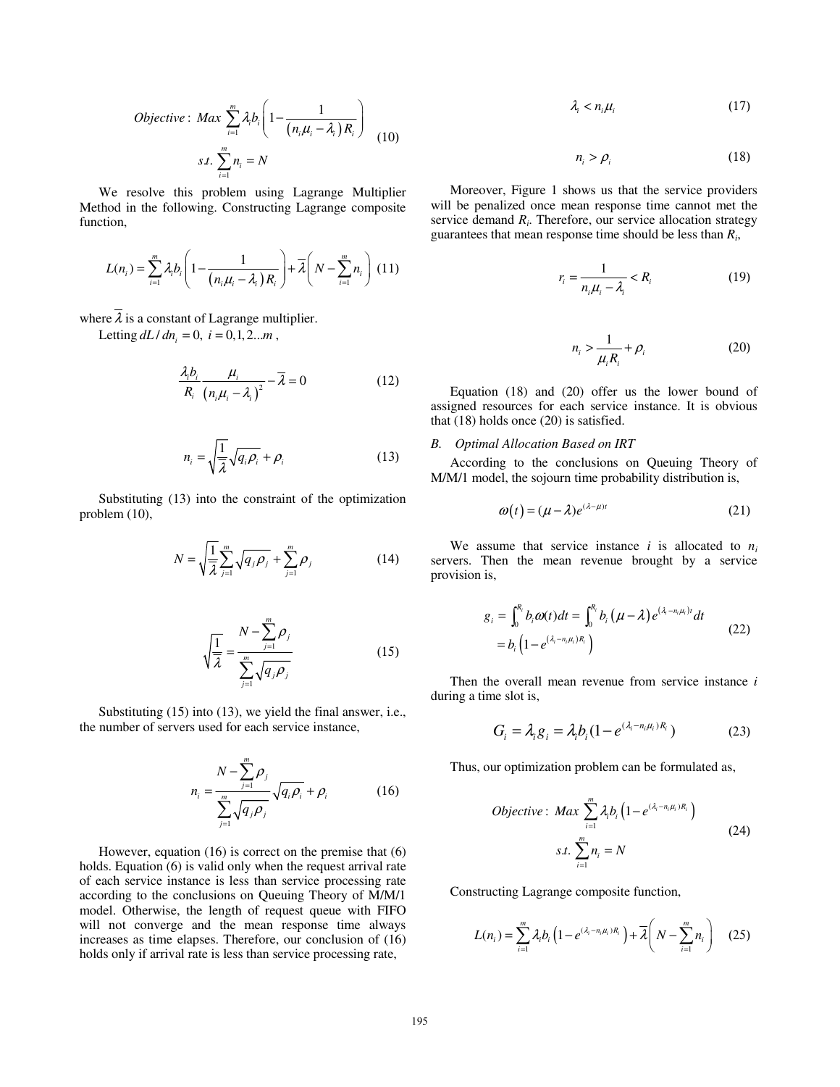$$
Objective: Max \sum_{i=1}^{m} \lambda_i b_i \left( 1 - \frac{1}{\left( n_i \mu_i - \lambda_i \right) R_i} \right) \tag{10}
$$
  

$$
s.t. \sum_{i=1}^{m} n_i = N
$$

We resolve this problem using Lagrange Multiplier Method in the following. Constructing Lagrange composite function,

$$
L(n_i) = \sum_{i=1}^{m} \lambda_i b_i \left( 1 - \frac{1}{\left(n_i \mu_i - \lambda_i\right) R_i} \right) + \overline{\lambda} \left( N - \sum_{i=1}^{m} n_i \right) (11)
$$

where  $\overline{\lambda}$  is a constant of Lagrange multiplier. Letting  $dL/dn_i = 0$ ,  $i = 0, 1, 2...m$ ,

$$
\frac{\lambda_i b_i}{R_i} \frac{\mu_i}{\left(n_i \mu_i - \lambda_i\right)^2} - \overline{\lambda} = 0
$$
\n(12)

$$
n_i = \sqrt{\frac{1}{\lambda}} \sqrt{q_i \rho_i} + \rho_i
$$
 (13)

Substituting (13) into the constraint of the optimization problem (10),

$$
N = \sqrt{\frac{1}{\lambda}} \sum_{j=1}^{m} \sqrt{q_j \rho_j} + \sum_{j=1}^{m} \rho_j
$$
 (14)

$$
\sqrt{\frac{1}{\lambda}} = \frac{N - \sum_{j=1}^{m} \rho_j}{\sum_{j=1}^{m} \sqrt{q_j \rho_j}}
$$
(15)

Substituting (15) into (13), we yield the final answer, i.e., the number of servers used for each service instance,

$$
n_i = \frac{N - \sum_{j=1}^{m} \rho_j}{\sum_{j=1}^{m} \sqrt{q_j \rho_j}} \sqrt{q_i \rho_i} + \rho_i
$$
 (16)

However, equation (16) is correct on the premise that (6) holds. Equation (6) is valid only when the request arrival rate of each service instance is less than service processing rate according to the conclusions on Queuing Theory of M/M/1 model. Otherwise, the length of request queue with FIFO will not converge and the mean response time always increases as time elapses. Therefore, our conclusion of (16) holds only if arrival rate is less than service processing rate,

$$
\lambda_i < n_i \mu_i \tag{17}
$$

$$
n_i > \rho_i \tag{18}
$$

Moreover, Figure 1 shows us that the service providers will be penalized once mean response time cannot met the service demand  $R_i$ . Therefore, our service allocation strategy guarantees that mean response time should be less than *Ri*,

$$
r_i = \frac{1}{n_i \mu_i - \lambda_i} < R_i \tag{19}
$$

$$
n_i > \frac{1}{\mu_i R_i} + \rho_i \tag{20}
$$

Equation (18) and (20) offer us the lower bound of assigned resources for each service instance. It is obvious that (18) holds once (20) is satisfied.

#### *B. Optimal Allocation Based on IRT*

According to the conclusions on Queuing Theory of M/M/1 model, the sojourn time probability distribution is,

$$
\omega(t) = (\mu - \lambda)e^{(\lambda - \mu)t} \tag{21}
$$

We assume that service instance  $i$  is allocated to  $n_i$ servers. Then the mean revenue brought by a service provision is,

$$
g_{i} = \int_{0}^{R_{i}} b_{i} \omega(t) dt = \int_{0}^{R_{i}} b_{i} (\mu - \lambda) e^{(\lambda_{i} - n_{i} \mu_{i})t} dt
$$
  
=  $b_{i} (1 - e^{(\lambda_{i} - n_{i} \mu_{i})R_{i}})$  (22)

Then the overall mean revenue from service instance *i*  during a time slot is,

$$
G_i = \lambda_i g_i = \lambda_i b_i (1 - e^{(\lambda_i - n_i \mu_i) R_i})
$$
 (23)

Thus, our optimization problem can be formulated as,

$$
Objective: Max \sum_{i=1}^{m} \lambda_i b_i \left( 1 - e^{(\lambda_i - n_i \mu_i) R_i} \right)
$$
  
s.t. 
$$
\sum_{i=1}^{m} n_i = N
$$
 (24)

Constructing Lagrange composite function,

$$
L(n_i) = \sum_{i=1}^{m} \lambda_i b_i \left( 1 - e^{(\lambda_i - n_i \mu_i) R_i} \right) + \overline{\lambda} \left( N - \sum_{i=1}^{m} n_i \right) \quad (25)
$$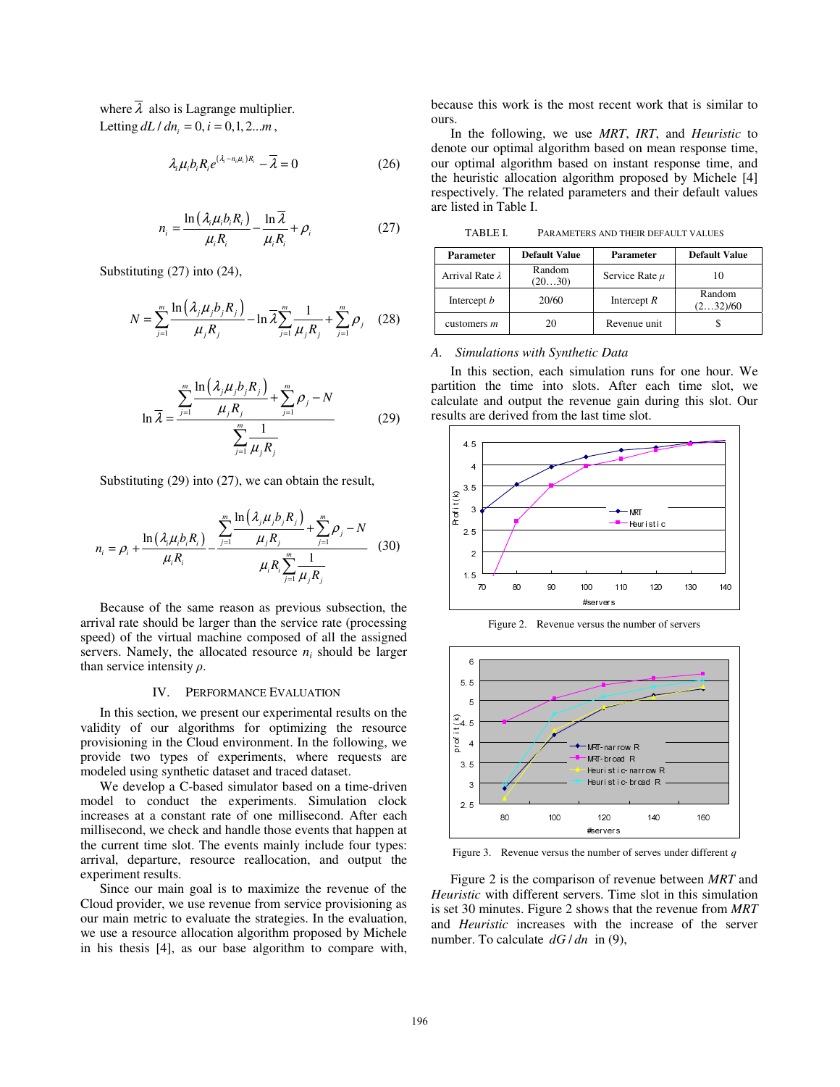where  $\overline{\lambda}$  also is Lagrange multiplier. Letting  $dL / dn_i = 0, i = 0, 1, 2...m$ ,

$$
\lambda_i \mu_i b_i R_i e^{(\lambda_i - n_i \mu_i) R_i} - \overline{\lambda} = 0
$$
 (26)

$$
n_i = \frac{\ln\left(\lambda_i \mu_i b_i R_i\right)}{\mu_i R_i} - \frac{\ln\overline{\lambda}}{\mu_i R_i} + \rho_i
$$
 (27)

Substituting (27) into (24),

$$
N = \sum_{j=1}^{m} \frac{\ln(\lambda_j \mu_j b_j R_j)}{\mu_j R_j} - \ln \overline{\lambda} \sum_{j=1}^{m} \frac{1}{\mu_j R_j} + \sum_{j=1}^{m} \rho_j \quad (28)
$$

$$
\ln \overline{\lambda} = \frac{\sum_{j=1}^{m} \frac{\ln (\lambda_j \mu_j b_j R_j)}{\mu_j R_j} + \sum_{j=1}^{m} \rho_j - N}{\sum_{j=1}^{m} \frac{1}{\mu_j R_j}}
$$
(29)

Substituting (29) into (27), we can obtain the result,

$$
n_{i} = \rho_{i} + \frac{\ln(\lambda_{i}\mu_{i}b_{i}R_{i})}{\mu_{i}R_{i}} - \frac{\sum_{j=1}^{m} \frac{\ln(\lambda_{j}\mu_{j}b_{j}R_{j})}{\mu_{j}R_{j}} + \sum_{j=1}^{m} \rho_{j} - N}{\mu_{i}R_{i} \sum_{j=1}^{m} \frac{1}{\mu_{j}R_{j}}}
$$
(30)

Because of the same reason as previous subsection, the arrival rate should be larger than the service rate (processing speed) of the virtual machine composed of all the assigned servers. Namely, the allocated resource  $n_i$  should be larger than service intensity  $\rho$ .

#### IV. PERFORMANCE EVALUATION

In this section, we present our experimental results on the validity of our algorithms for optimizing the resource provisioning in the Cloud environment. In the following, we provide two types of experiments, where requests are modeled using synthetic dataset and traced dataset.

We develop a C-based simulator based on a time-driven model to conduct the experiments. Simulation clock increases at a constant rate of one millisecond. After each millisecond, we check and handle those events that happen at the current time slot. The events mainly include four types: arrival, departure, resource reallocation, and output the experiment results.

Since our main goal is to maximize the revenue of the Cloud provider, we use revenue from service provisioning as our main metric to evaluate the strategies. In the evaluation, we use a resource allocation algorithm proposed by Michele in his thesis [4], as our base algorithm to compare with, because this work is the most recent work that is similar to ours.

In the following, we use *MRT*, *IRT*, and *Heuristic* to denote our optimal algorithm based on mean response time, our optimal algorithm based on instant response time, and the heuristic allocation algorithm proposed by Michele [4] respectively. The related parameters and their default values are listed in Table I.

TABLE I. PARAMETERS AND THEIR DEFAULT VALUES

| Parameter              | <b>Default Value</b> | <b>Parameter</b>   | <b>Default Value</b> |
|------------------------|----------------------|--------------------|----------------------|
| Arrival Rate $\lambda$ | Random<br>(2030)     | Service Rate $\mu$ | 10                   |
| Intercept <i>b</i>     | 20/60                | Intercept $R$      | Random<br>(232)/60   |
| customers $m$          | 20                   | Revenue unit       |                      |

### *A. Simulations with Synthetic Data*

In this section, each simulation runs for one hour. We partition the time into slots. After each time slot, we calculate and output the revenue gain during this slot. Our results are derived from the last time slot.



Figure 2. Revenue versus the number of servers



Figure 3. Revenue versus the number of serves under different *q*

Figure 2 is the comparison of revenue between *MRT* and *Heuristic* with different servers. Time slot in this simulation is set 30 minutes. Figure 2 shows that the revenue from *MRT* and *Heuristic* increases with the increase of the server number. To calculate  $dG/dn$  in (9),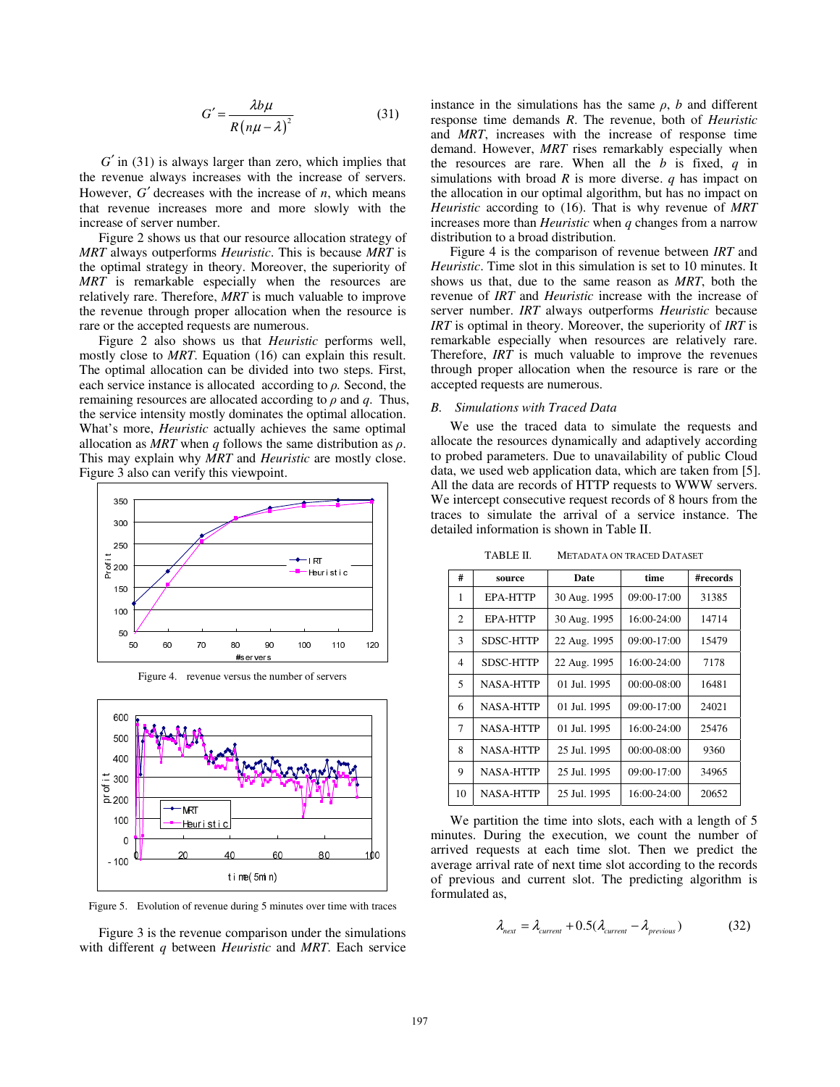$$
G' = \frac{\lambda b\mu}{R(n\mu - \lambda)^2} \tag{31}
$$

*G*′ in (31) is always larger than zero, which implies that the revenue always increases with the increase of servers. However, *G*′ decreases with the increase of *n*, which means that revenue increases more and more slowly with the increase of server number.

Figure 2 shows us that our resource allocation strategy of *MRT* always outperforms *Heuristic*. This is because *MRT* is the optimal strategy in theory. Moreover, the superiority of *MRT* is remarkable especially when the resources are relatively rare. Therefore, *MRT* is much valuable to improve the revenue through proper allocation when the resource is rare or the accepted requests are numerous.

Figure 2 also shows us that *Heuristic* performs well, mostly close to *MRT*. Equation (16) can explain this result. The optimal allocation can be divided into two steps. First, each service instance is allocated according to  $\rho$ . Second, the remaining resources are allocated according to  $\rho$  and  $q$ . Thus, the service intensity mostly dominates the optimal allocation. What's more, *Heuristic* actually achieves the same optimal allocation as *MRT* when  $q$  follows the same distribution as  $\rho$ . This may explain why *MRT* and *Heuristic* are mostly close. Figure 3 also can verify this viewpoint.





Figure 4. revenue versus the number of servers

Figure 5. Evolution of revenue during 5 minutes over time with traces

Figure 3 is the revenue comparison under the simulations with different *q* between *Heuristic* and *MRT*. Each service instance in the simulations has the same  $\rho$ ,  $b$  and different response time demands *R*. The revenue, both of *Heuristic* and *MRT*, increases with the increase of response time demand. However, *MRT* rises remarkably especially when the resources are rare. When all the *b* is fixed, *q* in simulations with broad *R* is more diverse. *q* has impact on the allocation in our optimal algorithm, but has no impact on *Heuristic* according to (16). That is why revenue of *MRT* increases more than *Heuristic* when *q* changes from a narrow distribution to a broad distribution.

Figure 4 is the comparison of revenue between *IRT* and *Heuristic*. Time slot in this simulation is set to 10 minutes. It shows us that, due to the same reason as *MRT*, both the revenue of *IRT* and *Heuristic* increase with the increase of server number. *IRT* always outperforms *Heuristic* because *IRT* is optimal in theory. Moreover, the superiority of *IRT* is remarkable especially when resources are relatively rare. Therefore, *IRT* is much valuable to improve the revenues through proper allocation when the resource is rare or the accepted requests are numerous.

# *B. Simulations with Traced Data*

We use the traced data to simulate the requests and allocate the resources dynamically and adaptively according to probed parameters. Due to unavailability of public Cloud data, we used web application data, which are taken from [5]. All the data are records of HTTP requests to WWW servers. We intercept consecutive request records of 8 hours from the traces to simulate the arrival of a service instance. The detailed information is shown in Table II.

| #  | source           | Date         | time            | #records |
|----|------------------|--------------|-----------------|----------|
| 1  | EPA-HTTP         | 30 Aug. 1995 | 09:00-17:00     | 31385    |
| 2  | EPA-HTTP         | 30 Aug. 1995 | 16:00-24:00     | 14714    |
| 3  | SDSC-HTTP        | 22 Aug. 1995 | $09:00-17:00$   | 15479    |
| 4  | <b>SDSC-HTTP</b> | 22 Aug. 1995 | $16:00 - 24:00$ | 7178     |
| 5  | <b>NASA-HTTP</b> | 01 Jul. 1995 | 00:00-08:00     | 16481    |
| 6  | <b>NASA-HTTP</b> | 01 Jul. 1995 | 09:00-17:00     | 24021    |
| 7  | <b>NASA-HTTP</b> | 01 Jul. 1995 | 16:00-24:00     | 25476    |
| 8  | <b>NASA-HTTP</b> | 25 Jul. 1995 | $00:00-08:00$   | 9360     |
| 9  | <b>NASA-HTTP</b> | 25 Jul. 1995 | 09:00-17:00     | 34965    |
| 10 | <b>NASA-HTTP</b> | 25 Jul. 1995 | $16:00-24:00$   | 20652    |

TABLE II. METADATA ON TRACED DATASET

We partition the time into slots, each with a length of 5 minutes. During the execution, we count the number of arrived requests at each time slot. Then we predict the average arrival rate of next time slot according to the records of previous and current slot. The predicting algorithm is formulated as,

$$
\lambda_{\text{next}} = \lambda_{\text{current}} + 0.5(\lambda_{\text{current}} - \lambda_{\text{previous}}) \tag{32}
$$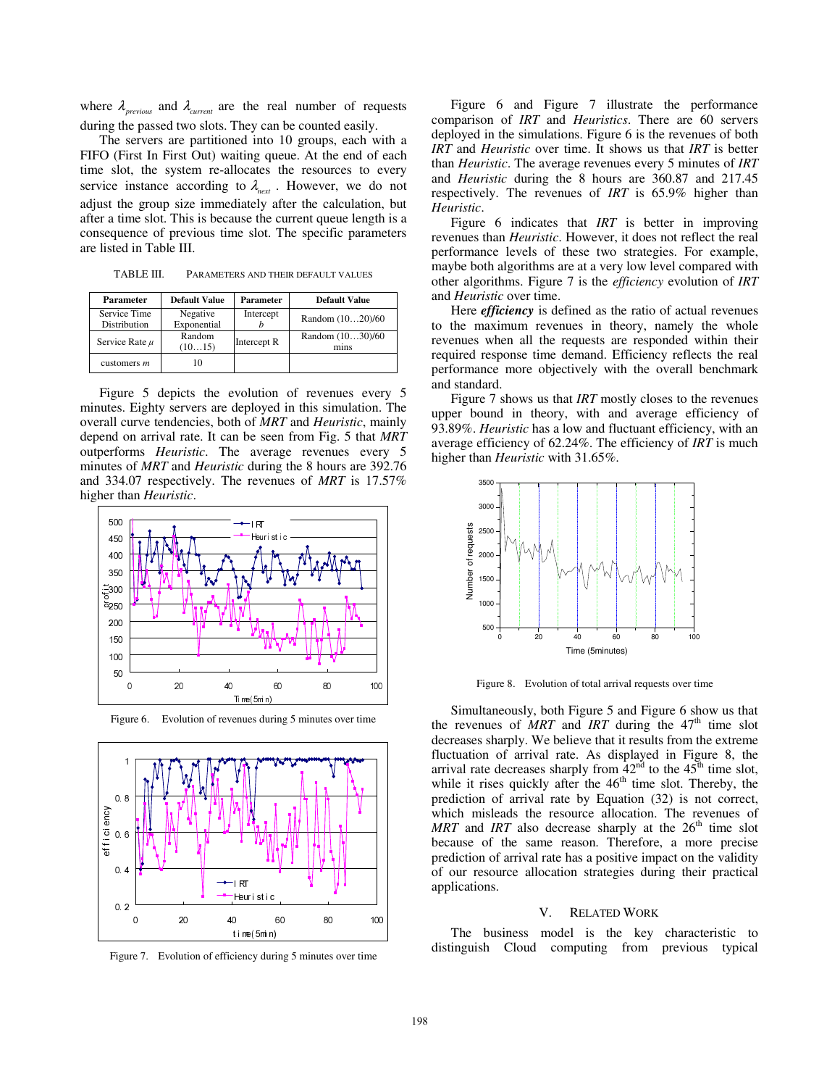where  $\lambda_{previous}$  and  $\lambda_{current}$  are the real number of requests during the passed two slots. They can be counted easily.

The servers are partitioned into 10 groups, each with a FIFO (First In First Out) waiting queue. At the end of each time slot, the system re-allocates the resources to every service instance according to  $\lambda_{\text{next}}$ . However, we do not adjust the group size immediately after the calculation, but after a time slot. This is because the current queue length is a consequence of previous time slot. The specific parameters are listed in Table III.

TABLE III. PARAMETERS AND THEIR DEFAULT VALUES

| <b>Parameter</b>   | <b>Default Value</b> | Parameter   | <b>Default Value</b> |  |
|--------------------|----------------------|-------------|----------------------|--|
| Service Time       | Negative             | Intercept   | Random (1020)/60     |  |
| Distribution       | Exponential          |             |                      |  |
| Service Rate $\mu$ | Random               | Intercept R | Random (1030)/60     |  |
|                    | (1015)               |             | mins                 |  |
| customers $m$      | 10                   |             |                      |  |

Figure 5 depicts the evolution of revenues every 5 minutes. Eighty servers are deployed in this simulation. The overall curve tendencies, both of *MRT* and *Heuristic*, mainly depend on arrival rate. It can be seen from Fig. 5 that *MRT* outperforms *Heuristic*. The average revenues every 5 minutes of *MRT* and *Heuristic* during the 8 hours are 392.76 and 334.07 respectively. The revenues of *MRT* is 17.57% higher than *Heuristic*.



Figure 6. Evolution of revenues during 5 minutes over time



Figure 7. Evolution of efficiency during 5 minutes over time

Figure 6 and Figure 7 illustrate the performance comparison of *IRT* and *Heuristics*. There are 60 servers deployed in the simulations. Figure 6 is the revenues of both *IRT* and *Heuristic* over time. It shows us that *IRT* is better than *Heuristic*. The average revenues every 5 minutes of *IRT* and *Heuristic* during the 8 hours are 360.87 and 217.45 respectively. The revenues of *IRT* is 65.9% higher than *Heuristic*.

Figure 6 indicates that *IRT* is better in improving revenues than *Heuristic*. However, it does not reflect the real performance levels of these two strategies. For example, maybe both algorithms are at a very low level compared with other algorithms. Figure 7 is the *efficiency* evolution of *IRT* and *Heuristic* over time.

Here *efficiency* is defined as the ratio of actual revenues to the maximum revenues in theory, namely the whole revenues when all the requests are responded within their required response time demand. Efficiency reflects the real performance more objectively with the overall benchmark and standard.

Figure 7 shows us that *IRT* mostly closes to the revenues upper bound in theory, with and average efficiency of 93.89%. *Heuristic* has a low and fluctuant efficiency, with an average efficiency of 62.24%. The efficiency of *IRT* is much higher than *Heuristic* with 31.65%.



Figure 8. Evolution of total arrival requests over time

Simultaneously, both Figure 5 and Figure 6 show us that the revenues of  $MRT$  and  $IRT$  during the  $47<sup>th</sup>$  time slot decreases sharply. We believe that it results from the extreme fluctuation of arrival rate. As displayed in Figure 8, the arrival rate decreases sharply from  $42<sup>nd</sup>$  to the  $45<sup>th</sup>$  time slot, while it rises quickly after the  $46<sup>th</sup>$  time slot. Thereby, the prediction of arrival rate by Equation (32) is not correct, which misleads the resource allocation. The revenues of *MRT* and *IRT* also decrease sharply at the  $26<sup>th</sup>$  time slot because of the same reason. Therefore, a more precise prediction of arrival rate has a positive impact on the validity of our resource allocation strategies during their practical applications.

#### V. RELATED WORK

The business model is the key characteristic to distinguish Cloud computing from previous typical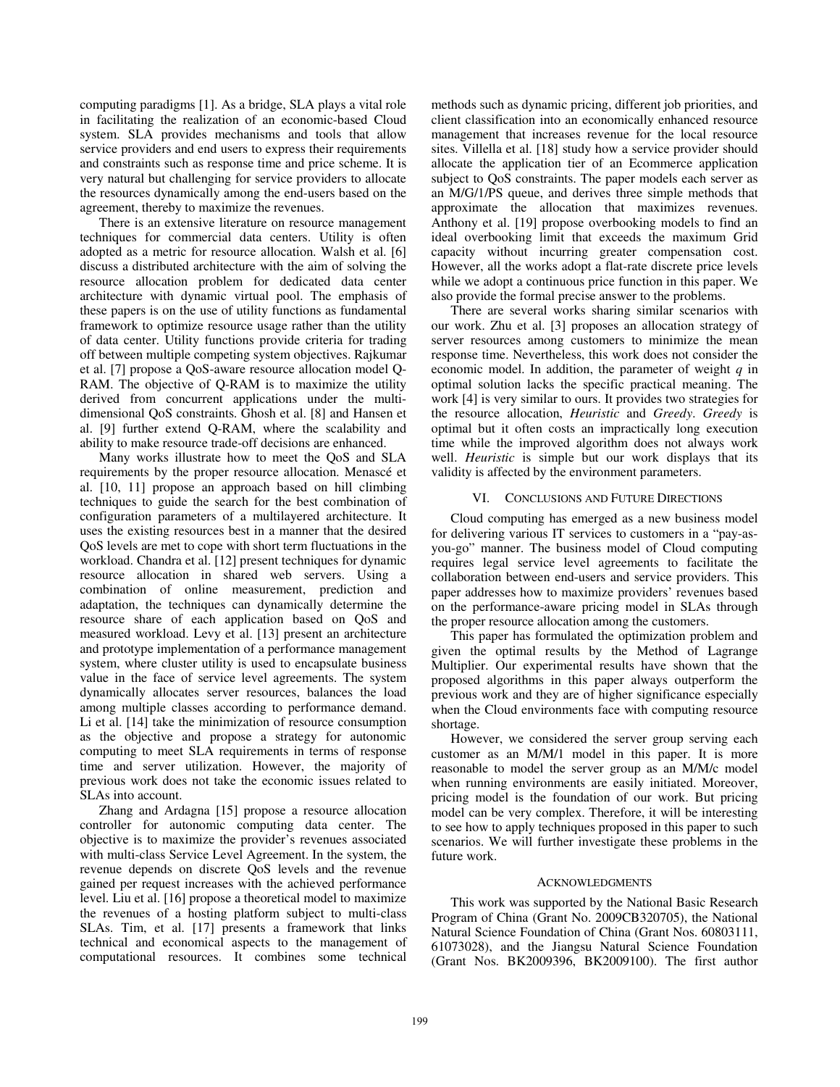computing paradigms [1]. As a bridge, SLA plays a vital role in facilitating the realization of an economic-based Cloud system. SLA provides mechanisms and tools that allow service providers and end users to express their requirements and constraints such as response time and price scheme. It is very natural but challenging for service providers to allocate the resources dynamically among the end-users based on the agreement, thereby to maximize the revenues.

There is an extensive literature on resource management techniques for commercial data centers. Utility is often adopted as a metric for resource allocation. Walsh et al. [6] discuss a distributed architecture with the aim of solving the resource allocation problem for dedicated data center architecture with dynamic virtual pool. The emphasis of these papers is on the use of utility functions as fundamental framework to optimize resource usage rather than the utility of data center. Utility functions provide criteria for trading off between multiple competing system objectives. Rajkumar et al. [7] propose a QoS-aware resource allocation model Q-RAM. The objective of Q-RAM is to maximize the utility derived from concurrent applications under the multidimensional QoS constraints. Ghosh et al. [8] and Hansen et al. [9] further extend Q-RAM, where the scalability and ability to make resource trade-off decisions are enhanced.

Many works illustrate how to meet the QoS and SLA requirements by the proper resource allocation. Menascé et al. [10, 11] propose an approach based on hill climbing techniques to guide the search for the best combination of configuration parameters of a multilayered architecture. It uses the existing resources best in a manner that the desired QoS levels are met to cope with short term fluctuations in the workload. Chandra et al. [12] present techniques for dynamic resource allocation in shared web servers. Using a combination of online measurement, prediction and adaptation, the techniques can dynamically determine the resource share of each application based on QoS and measured workload. Levy et al. [13] present an architecture and prototype implementation of a performance management system, where cluster utility is used to encapsulate business value in the face of service level agreements. The system dynamically allocates server resources, balances the load among multiple classes according to performance demand. Li et al. [14] take the minimization of resource consumption as the objective and propose a strategy for autonomic computing to meet SLA requirements in terms of response time and server utilization. However, the majority of previous work does not take the economic issues related to SLAs into account.

Zhang and Ardagna [15] propose a resource allocation controller for autonomic computing data center. The objective is to maximize the provider's revenues associated with multi-class Service Level Agreement. In the system, the revenue depends on discrete QoS levels and the revenue gained per request increases with the achieved performance level. Liu et al. [16] propose a theoretical model to maximize the revenues of a hosting platform subject to multi-class SLAs. Tim, et al. [17] presents a framework that links technical and economical aspects to the management of computational resources. It combines some technical methods such as dynamic pricing, different job priorities, and client classification into an economically enhanced resource management that increases revenue for the local resource sites. Villella et al. [18] study how a service provider should allocate the application tier of an Ecommerce application subject to QoS constraints. The paper models each server as an M/G/1/PS queue, and derives three simple methods that approximate the allocation that maximizes revenues. Anthony et al. [19] propose overbooking models to find an ideal overbooking limit that exceeds the maximum Grid capacity without incurring greater compensation cost. However, all the works adopt a flat-rate discrete price levels while we adopt a continuous price function in this paper. We also provide the formal precise answer to the problems.

There are several works sharing similar scenarios with our work. Zhu et al. [3] proposes an allocation strategy of server resources among customers to minimize the mean response time. Nevertheless, this work does not consider the economic model. In addition, the parameter of weight *q* in optimal solution lacks the specific practical meaning. The work [4] is very similar to ours. It provides two strategies for the resource allocation, *Heuristic* and *Greedy*. *Greedy* is optimal but it often costs an impractically long execution time while the improved algorithm does not always work well. *Heuristic* is simple but our work displays that its validity is affected by the environment parameters.

## VI. CONCLUSIONS AND FUTURE DIRECTIONS

Cloud computing has emerged as a new business model for delivering various IT services to customers in a "pay-asyou-go" manner. The business model of Cloud computing requires legal service level agreements to facilitate the collaboration between end-users and service providers. This paper addresses how to maximize providers' revenues based on the performance-aware pricing model in SLAs through the proper resource allocation among the customers.

This paper has formulated the optimization problem and given the optimal results by the Method of Lagrange Multiplier. Our experimental results have shown that the proposed algorithms in this paper always outperform the previous work and they are of higher significance especially when the Cloud environments face with computing resource shortage.

However, we considered the server group serving each customer as an M/M/1 model in this paper. It is more reasonable to model the server group as an M/M/c model when running environments are easily initiated. Moreover, pricing model is the foundation of our work. But pricing model can be very complex. Therefore, it will be interesting to see how to apply techniques proposed in this paper to such scenarios. We will further investigate these problems in the future work.

### ACKNOWLEDGMENTS

This work was supported by the National Basic Research Program of China (Grant No. 2009CB320705), the National Natural Science Foundation of China (Grant Nos. 60803111, 61073028), and the Jiangsu Natural Science Foundation (Grant Nos. BK2009396, BK2009100). The first author